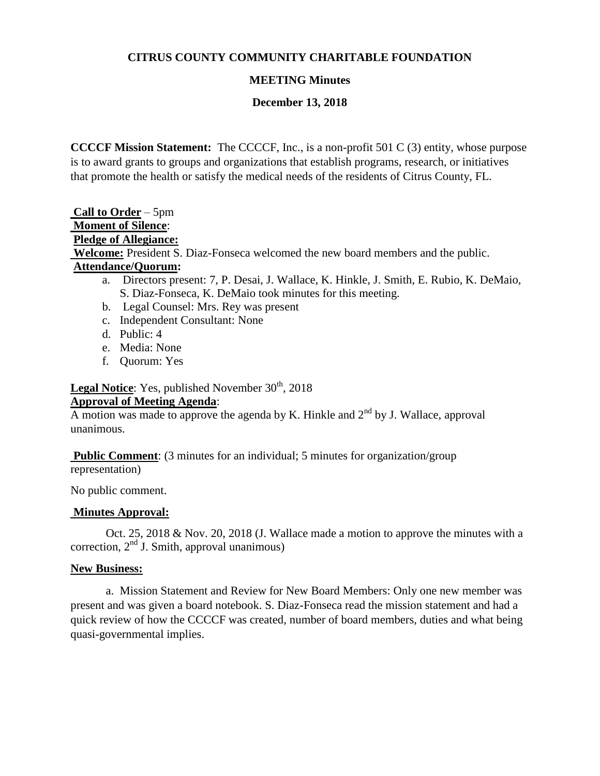## **CITRUS COUNTY COMMUNITY CHARITABLE FOUNDATION**

#### **MEETING Minutes**

#### **December 13, 2018**

**CCCCF Mission Statement:** The CCCCF, Inc., is a non-profit 501 C (3) entity, whose purpose is to award grants to groups and organizations that establish programs, research, or initiatives that promote the health or satisfy the medical needs of the residents of Citrus County, FL.

**Call to Order** – 5pm **Moment of Silence**: **Pledge of Allegiance: Welcome:** President S. Diaz-Fonseca welcomed the new board members and the public. **Attendance/Quorum:** 

- a. Directors present: 7, P. Desai, J. Wallace, K. Hinkle, J. Smith, E. Rubio, K. DeMaio, S. Diaz-Fonseca, K. DeMaio took minutes for this meeting.
- b. Legal Counsel: Mrs. Rey was present
- c. Independent Consultant: None
- d. Public: 4
- e. Media: None
- f. Quorum: Yes

**Legal Notice:** Yes, published November 30<sup>th</sup>, 2018

#### **Approval of Meeting Agenda**:

A motion was made to approve the agenda by K. Hinkle and  $2<sup>nd</sup>$  by J. Wallace, approval unanimous.

**Public Comment:** (3 minutes for an individual; 5 minutes for organization/group representation)

No public comment.

## **Minutes Approval:**

Oct. 25, 2018 & Nov. 20, 2018 (J. Wallace made a motion to approve the minutes with a correction,  $2<sup>nd</sup>$  J. Smith, approval unanimous)

#### **New Business:**

a. Mission Statement and Review for New Board Members: Only one new member was present and was given a board notebook. S. Diaz-Fonseca read the mission statement and had a quick review of how the CCCCF was created, number of board members, duties and what being quasi-governmental implies.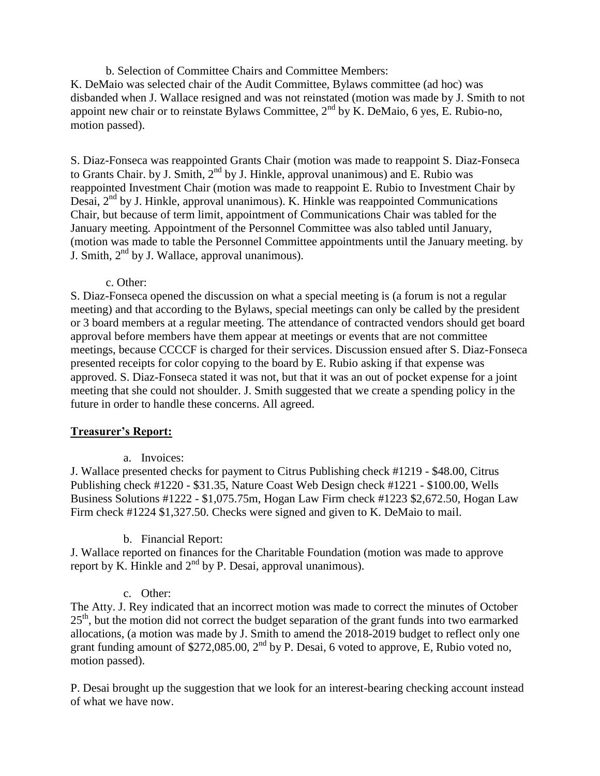b. Selection of Committee Chairs and Committee Members:

K. DeMaio was selected chair of the Audit Committee, Bylaws committee (ad hoc) was disbanded when J. Wallace resigned and was not reinstated (motion was made by J. Smith to not appoint new chair or to reinstate Bylaws Committee,  $2<sup>nd</sup>$  by K. DeMaio, 6 yes, E. Rubio-no, motion passed).

S. Diaz-Fonseca was reappointed Grants Chair (motion was made to reappoint S. Diaz-Fonseca to Grants Chair. by J. Smith,  $2^{nd}$  by J. Hinkle, approval unanimous) and E. Rubio was reappointed Investment Chair (motion was made to reappoint E. Rubio to Investment Chair by Desai,  $2<sup>nd</sup>$  by J. Hinkle, approval unanimous). K. Hinkle was reappointed Communications Chair, but because of term limit, appointment of Communications Chair was tabled for the January meeting. Appointment of the Personnel Committee was also tabled until January, (motion was made to table the Personnel Committee appointments until the January meeting. by J. Smith,  $2<sup>nd</sup>$  by J. Wallace, approval unanimous).

c. Other:

S. Diaz-Fonseca opened the discussion on what a special meeting is (a forum is not a regular meeting) and that according to the Bylaws, special meetings can only be called by the president or 3 board members at a regular meeting. The attendance of contracted vendors should get board approval before members have them appear at meetings or events that are not committee meetings, because CCCCF is charged for their services. Discussion ensued after S. Diaz-Fonseca presented receipts for color copying to the board by E. Rubio asking if that expense was approved. S. Diaz-Fonseca stated it was not, but that it was an out of pocket expense for a joint meeting that she could not shoulder. J. Smith suggested that we create a spending policy in the future in order to handle these concerns. All agreed.

## **Treasurer's Report:**

a. Invoices:

J. Wallace presented checks for payment to Citrus Publishing check #1219 - \$48.00, Citrus Publishing check #1220 - \$31.35, Nature Coast Web Design check #1221 - \$100.00, Wells Business Solutions #1222 - \$1,075.75m, Hogan Law Firm check #1223 \$2,672.50, Hogan Law Firm check #1224 \$1,327.50. Checks were signed and given to K. DeMaio to mail.

## b. Financial Report:

J. Wallace reported on finances for the Charitable Foundation (motion was made to approve report by K. Hinkle and  $2<sup>nd</sup>$  by P. Desai, approval unanimous).

## c. Other:

The Atty. J. Rey indicated that an incorrect motion was made to correct the minutes of October  $25<sup>th</sup>$ , but the motion did not correct the budget separation of the grant funds into two earmarked allocations, (a motion was made by J. Smith to amend the 2018-2019 budget to reflect only one grant funding amount of \$272,085.00,  $2^{nd}$  by P. Desai, 6 voted to approve, E, Rubio voted no, motion passed).

P. Desai brought up the suggestion that we look for an interest-bearing checking account instead of what we have now.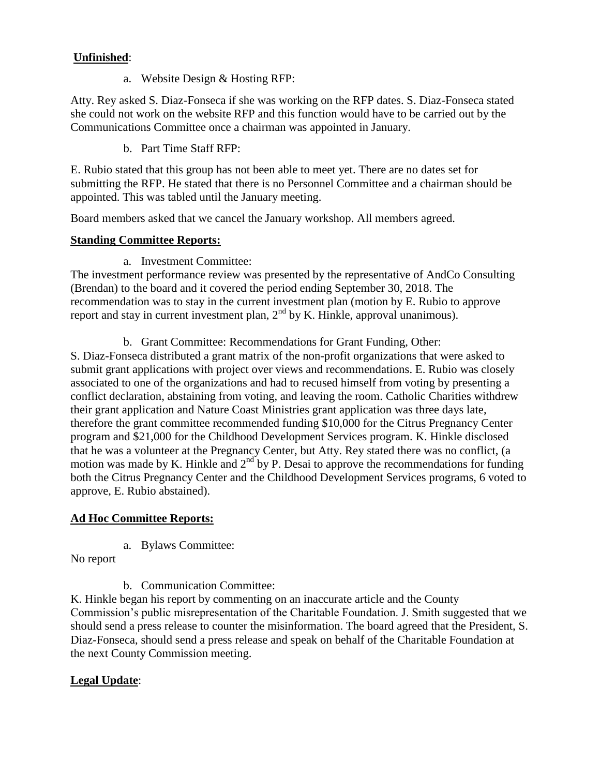# **Unfinished**:

a. Website Design & Hosting RFP:

Atty. Rey asked S. Diaz-Fonseca if she was working on the RFP dates. S. Diaz-Fonseca stated she could not work on the website RFP and this function would have to be carried out by the Communications Committee once a chairman was appointed in January.

b. Part Time Staff RFP:

E. Rubio stated that this group has not been able to meet yet. There are no dates set for submitting the RFP. He stated that there is no Personnel Committee and a chairman should be appointed. This was tabled until the January meeting.

Board members asked that we cancel the January workshop. All members agreed.

## **Standing Committee Reports:**

a. Investment Committee:

The investment performance review was presented by the representative of AndCo Consulting (Brendan) to the board and it covered the period ending September 30, 2018. The recommendation was to stay in the current investment plan (motion by E. Rubio to approve report and stay in current investment plan,  $2<sup>nd</sup>$  by K. Hinkle, approval unanimous).

b. Grant Committee: Recommendations for Grant Funding, Other:

S. Diaz-Fonseca distributed a grant matrix of the non-profit organizations that were asked to submit grant applications with project over views and recommendations. E. Rubio was closely associated to one of the organizations and had to recused himself from voting by presenting a conflict declaration, abstaining from voting, and leaving the room. Catholic Charities withdrew their grant application and Nature Coast Ministries grant application was three days late, therefore the grant committee recommended funding \$10,000 for the Citrus Pregnancy Center program and \$21,000 for the Childhood Development Services program. K. Hinkle disclosed that he was a volunteer at the Pregnancy Center, but Atty. Rey stated there was no conflict, (a motion was made by K. Hinkle and  $2<sup>nd</sup>$  by P. Desai to approve the recommendations for funding both the Citrus Pregnancy Center and the Childhood Development Services programs, 6 voted to approve, E. Rubio abstained).

# **Ad Hoc Committee Reports:**

a. Bylaws Committee:

No report

b. Communication Committee:

K. Hinkle began his report by commenting on an inaccurate article and the County Commission's public misrepresentation of the Charitable Foundation. J. Smith suggested that we should send a press release to counter the misinformation. The board agreed that the President, S. Diaz-Fonseca, should send a press release and speak on behalf of the Charitable Foundation at the next County Commission meeting.

## **Legal Update**: